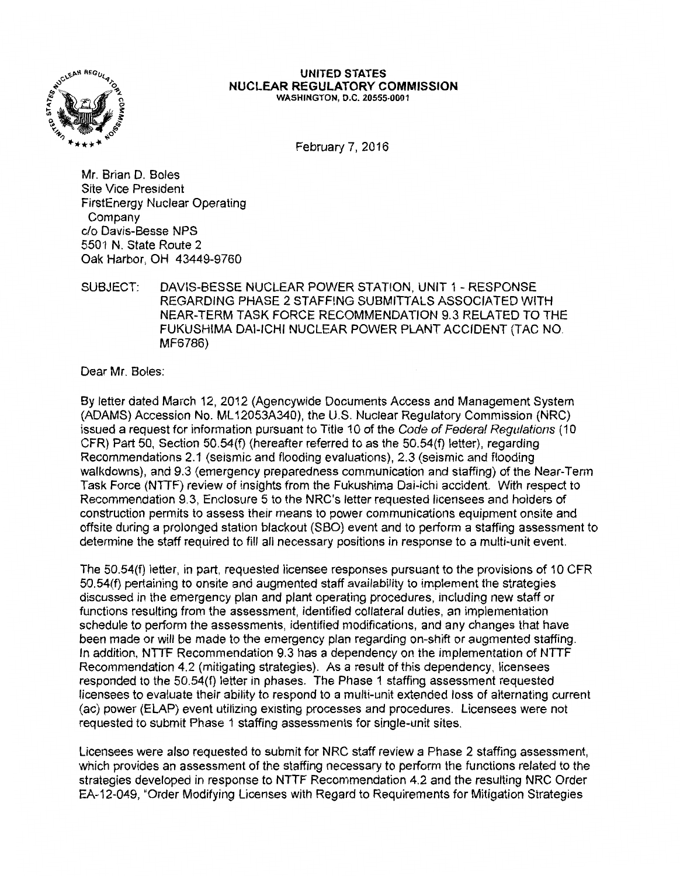

## **UNITED STATES NUCLEAR REGULATORY COMMISSION**  WASHINGTON, D.C. 20555-0001

February 7, 2016

Mr. Brian D. Boles Site Vice President FirstEnergy Nuclear Operating Company c/o Davis-Besse NPS 5501 N. State Route 2 Oak Harbor, OH 43449-9760

## SUBJECT: DAVIS-BESSE NUCLEAR POWER STATION, UNIT 1 - RESPONSE REGARDING PHASE 2 STAFFING SUBMITTALS ASSOCIATED WITH NEAR-TERM TASK FORCE RECOMMENDATION 9.3 RELATED TO THE FUKUSHIMA DAl-ICHI NUCLEAR POWER PLANT ACCIDENT (TAC NO. MF6786)

Dear Mr. Boles:

By letter dated March 12, 2012 (Agencywide Documents Access and Management System (ADAMS) Accession No. ML 12053A340), the U.S. Nuclear Regulatory Commission (NRC) issued a request for information pursuant to Title 10 of the Code of Federal Regulations (10 CFR) Part 50, Section 50.54(f) (hereafter referred to as the 50.54(f) letter), regarding Recommendations 2.1 (seismic and flooding evaluations), 2.3 (seismic and flooding walkdowns), and 9.3 (emergency preparedness communication and staffing) of the Near-Term Task Force (NTTF) review of insights from the Fukushima Dai-ichi accident. With respect to Recommendation 9.3, Enclosure 5 to the NRC's letter requested licensees and holders of construction permits to assess their means to power communications equipment onsite and offsite during a prolonged station blackout (SBO) event and to perform a staffing assessment to determine the staff required to fill all necessary positions in response to a multi-unit event.

The 50.54(f) letter, in part, requested licensee responses pursuant to the provisions of 10 CFR 50.54(f) pertaining to onsite and augmented staff availability to implement the strategies discussed in the emergency plan and plant operating procedures, including new staff or functions resulting from the assessment, identified collateral duties, an implementation schedule to perform the assessments, identified modifications, and any changes that have been made or will be made to the emergency plan regarding on-shift or augmented staffing. In addition, NTTF Recommendation 9.3 has a dependency on the implementation of NTTF Recommendation 4.2 (mitigating strategies). As a result of this dependency, licensees responded to the 50.54(f) letter in phases. The Phase 1 staffing assessment requested licensees to evaluate their ability to respond to a multi-unit extended loss of alternating current (ac) power (ELAP) event utilizing existing processes and procedures. Licensees were not requested to submit Phase 1 staffing assessments for single-unit sites.

Licensees were also requested to submit for NRC staff review a Phase 2 staffing assessment, which provides an assessment of the staffing necessary to perform the functions related to the strategies developed in response to NTTF Recommendation 4.2 and the resulting NRC Order EA-12-049, "Order Modifying Licenses with Regard to Requirements for Mitigation Strategies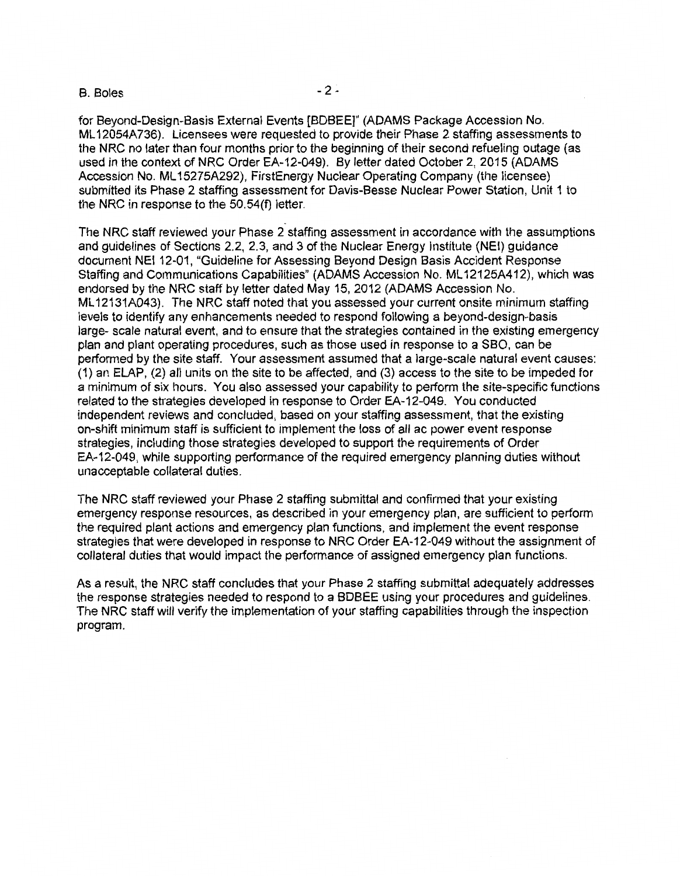## $B.$  Boles  $-2$  -

for Beyond-Design-Basis External Events [BDBEE]" (ADAMS Package Accession No. ML 12054A736). Licensees were requested to provide their Phase 2 staffing assessments to the NRC no later than four months prior to the beginning of their second refueling outage (as used in the context of NRC Order EA-12-049). By letter dated October 2, 2015 (ADAMS Accession No. ML 15275A292), FirstEnergy Nuclear Operating Company (the licensee) submitted its Phase 2 staffing assessment for Davis-Besse Nuclear Power Station, Unit 1 to the NRC in response to the 50.54(f) letter.

The NRC staff reviewed your Phase 2 staffing assessment in accordance with the assumptions and guidelines of Sections 2.2, 2.3, and 3 of the Nuclear Energy Institute (NEI) guidance document NEI 12-01, "Guideline for Assessing Beyond Design Basis Accident Response Staffing and Communications Capabilities" (ADAMS Accession No. ML 12125A412), which was endorsed by the NRC staff by letter dated May 15, 2012 (ADAMS Accession No. ML 12131A043). The NRC staff noted that you assessed your current onsite minimum staffing levels to identify any enhancements needed to respond following a beyond-design-basis large- scale natural event, and to ensure that the strategies contained in the existing emergency plan and plant operating procedures, such as those used in response to a SBO, can be performed by the site staff. Your assessment assumed that a large-scale natural event causes: (1) an ELAP, (2) all units on the site to be affected, and (3) access to the site to be impeded for a minimum of six hours. You also assessed your capability to perform the site-specific functions related to the strategies developed in response to Order EA-12-049. You conducted independent reviews and concluded, based on your staffing assessment, that the existing on-shift minimum staff is sufficient to implement the loss of all ac power event response strategies, including those strategies developed to support the requirements of Order EA-12-049, while supporting performance of the required emergency planning duties without unacceptable collateral duties.

The NRC staff reviewed your Phase 2 staffing submittal and confirmed that your existing emergency response resources, as described in your emergency plan, are sufficient to perform the required plant actions and emergency plan functions, and implement the event response strategies that were developed in response to NRC Order EA-12-049 without the assignment of collateral duties that would impact the performance of assigned emergency plan functions.

As a result, the NRC staff concludes that your Phase 2 staffing submittal adequately addresses the response strategies needed to respond to a BDBEE using your procedures and guidelines. The NRC staff will verify the implementation of your staffing capabilities through the inspection program.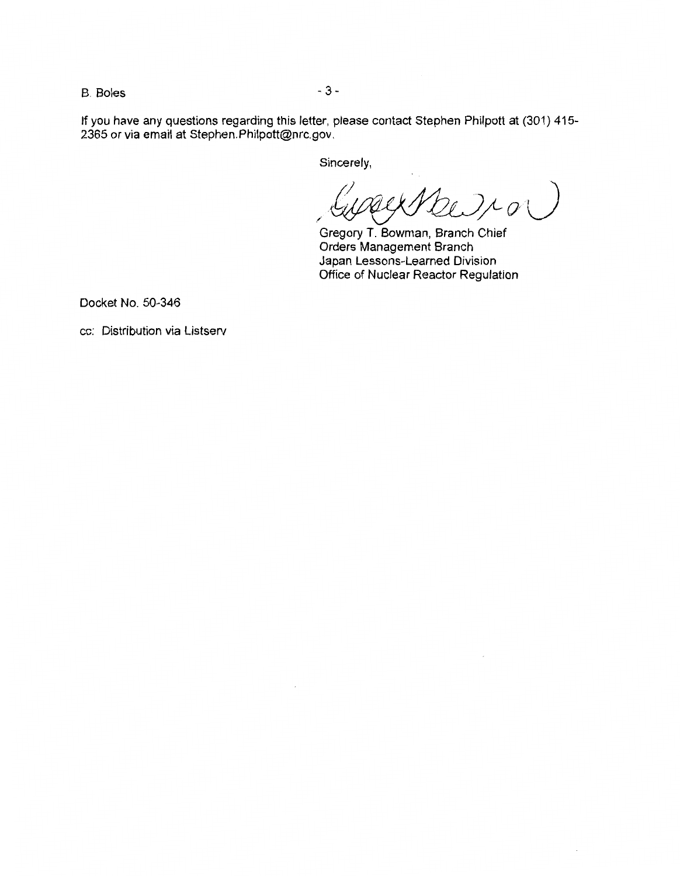B. Boles - 3 -

If you have any questions regarding this letter, please contact Stephen Philpott at (301) 415- 2365 or via email at Stephen.Philpott@nrc.gov.

Sincerely,

 $20/20)$ */* 

Gregory T. Bowman, Branch Chief Orders Management Branch Japan Lessons-Learned Division Office of Nuclear Reactor Regulation

Docket No. 50-346

cc: Distribution via Listserv